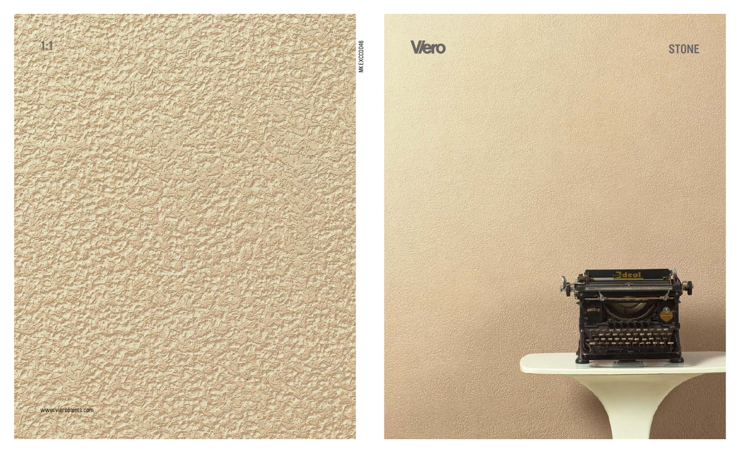